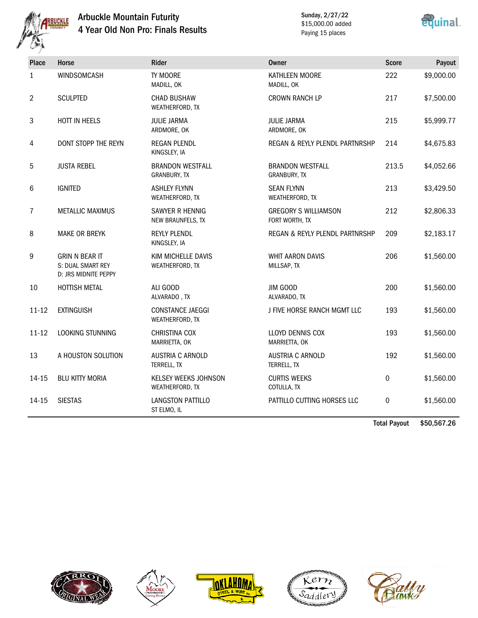

#### Arbuckle Mountain Futurity 4 Year Old Non Pro: Finals Results

Sunday, 2/27/22 \$15,000.00 added Paying 15 places



| <b>Place</b>   | Horse                                                              | Rider                                   | <b>Owner</b>                                  | <b>Score</b> | Payout     |
|----------------|--------------------------------------------------------------------|-----------------------------------------|-----------------------------------------------|--------------|------------|
| $\mathbf{1}$   | WINDSOMCASH                                                        | TY MOORE<br>MADILL, OK                  | KATHLEEN MOORE<br>MADILL, OK                  | 222          | \$9,000.00 |
| $\overline{2}$ | <b>SCULPTED</b>                                                    | <b>CHAD BUSHAW</b><br>WEATHERFORD, TX   | <b>CROWN RANCH LP</b>                         | 217          | \$7,500.00 |
| 3              | HOTT IN HEELS                                                      | <b>JULIE JARMA</b><br>ARDMORE, OK       | <b>JULIE JARMA</b><br>ARDMORE, OK             | 215          | \$5,999.77 |
| 4              | DONT STOPP THE REYN                                                | REGAN PLENDL<br>KINGSLEY, IA            | REGAN & REYLY PLENDL PARTNRSHP                | 214          | \$4,675.83 |
| 5              | <b>JUSTA REBEL</b>                                                 | <b>BRANDON WESTFALL</b><br>GRANBURY, TX | <b>BRANDON WESTFALL</b><br>GRANBURY, TX       | 213.5        | \$4,052.66 |
| 6              | <b>IGNITED</b>                                                     | <b>ASHLEY FLYNN</b><br>WEATHERFORD, TX  | <b>SEAN FLYNN</b><br>WEATHERFORD, TX          | 213          | \$3,429.50 |
| $\overline{7}$ | <b>METALLIC MAXIMUS</b>                                            | SAWYER R HENNIG<br>NEW BRAUNFELS, TX    | <b>GREGORY S WILLIAMSON</b><br>FORT WORTH, TX | 212          | \$2,806.33 |
| 8              | <b>MAKE OR BREYK</b>                                               | <b>REYLY PLENDL</b><br>KINGSLEY, IA     | REGAN & REYLY PLENDL PARTNRSHP                | 209          | \$2,183.17 |
| 9              | <b>GRIN N BEAR IT</b><br>S: DUAL SMART REY<br>D: JRS MIDNITE PEPPY | KIM MICHELLE DAVIS<br>WEATHERFORD, TX   | <b>WHIT AARON DAVIS</b><br>MILLSAP, TX        | 206          | \$1,560.00 |
| 10             | HOTTISH METAL                                                      | ALI GOOD<br>ALVARADO, TX                | JIM GOOD<br>ALVARADO, TX                      | 200          | \$1,560.00 |
| $11 - 12$      | <b>EXTINGUISH</b>                                                  | CONSTANCE JAEGGI<br>WEATHERFORD, TX     | J FIVE HORSE RANCH MGMT LLC                   | 193          | \$1,560.00 |
| $11 - 12$      | LOOKING STUNNING                                                   | CHRISTINA COX<br>MARRIETTA, OK          | LLOYD DENNIS COX<br>MARRIETTA, OK             | 193          | \$1,560.00 |
| 13             | A HOUSTON SOLUTION                                                 | <b>AUSTRIA C ARNOLD</b><br>TERRELL, TX  | <b>AUSTRIA C ARNOLD</b><br>TERRELL, TX        | 192          | \$1,560.00 |
| $14 - 15$      | <b>BLU KITTY MORIA</b>                                             | KELSEY WEEKS JOHNSON<br>WEATHERFORD, TX | <b>CURTIS WEEKS</b><br>COTULLA, TX            | 0            | \$1,560.00 |
| 14-15          | <b>SIESTAS</b>                                                     | LANGSTON PATTILLO<br>ST ELMO, IL        | PATTILLO CUTTING HORSES LLC                   | 0            | \$1,560.00 |

Total Payout \$50,567.26









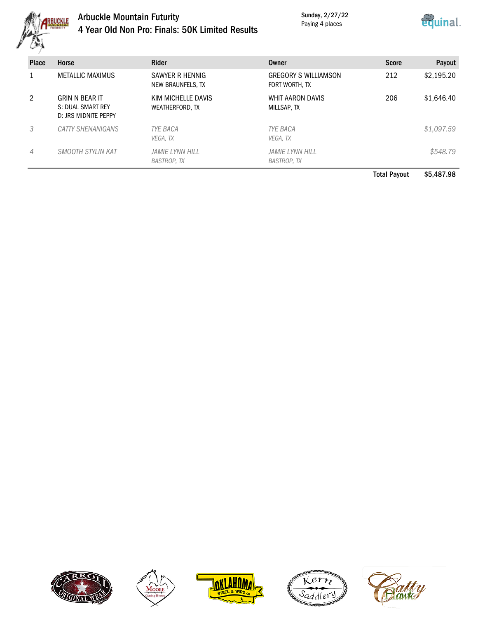

# Arbuckle Mountain Futurity 4 Year Old Non Pro: Finals: 50K Limited Results

Sunday, 2/27/22 Paying 4 places



| <b>Place</b> | Horse                                                              | Rider                                 | Owner                                         | <b>Score</b> | Payout     |
|--------------|--------------------------------------------------------------------|---------------------------------------|-----------------------------------------------|--------------|------------|
|              | <b>METALLIC MAXIMUS</b>                                            | SAWYER R HENNIG<br>NEW BRAUNFELS, TX  | <b>GREGORY S WILLIAMSON</b><br>FORT WORTH, TX | 212          | \$2,195.20 |
| 2            | <b>GRIN N BEAR IT</b><br>S: DUAL SMART REY<br>D: JRS MIDNITE PEPPY | KIM MICHELLE DAVIS<br>WEATHERFORD, TX | WHIT AARON DAVIS<br>MILLSAP, TX               | 206          | \$1,646.40 |
| 3            | CATTY SHENANIGANS                                                  | <b>TYE BACA</b><br>VEGA. TX           | <b>TYE BACA</b><br>VEGA, TX                   |              | \$1,097.59 |
| 4            | SMOOTH STYLIN KAT                                                  | JAMIE LYNN HILL<br><b>BASTROP, TX</b> | <b>JAMIE LYNN HILL</b><br><b>BASTROP, TX</b>  |              | \$548.79   |

Total Payout \$5,487.98









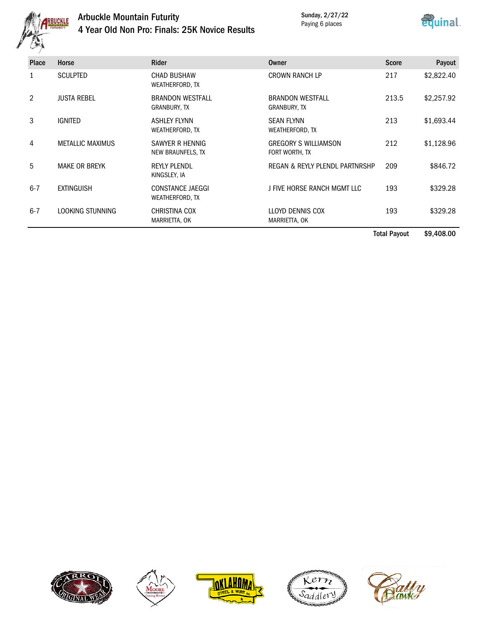

# Arbuckle Mountain Futurity 4 Year Old Non Pro: Finals: 25K Novice Results

Sunday, 2/27/22 Paying 6 places



|         |                         |                                            |                                               | <b>Score</b> | Payout     |
|---------|-------------------------|--------------------------------------------|-----------------------------------------------|--------------|------------|
|         | <b>SCULPTED</b>         | <b>CHAD BUSHAW</b><br>WEATHERFORD, TX      | <b>CROWN RANCH LP</b>                         | 217          | \$2,822.40 |
| 2       | <b>JUSTA REBEL</b>      | <b>BRANDON WESTFALL</b><br>GRANBURY, TX    | <b>BRANDON WESTFALL</b><br>GRANBURY, TX       | 213.5        | \$2,257.92 |
| 3       | <b>IGNITED</b>          | <b>ASHLEY FLYNN</b><br>WEATHERFORD, TX     | <b>SEAN FLYNN</b><br>WEATHERFORD, TX          | 213          | \$1,693.44 |
| 4       | <b>METALLIC MAXIMUS</b> | SAWYER R HENNIG<br>NEW BRAUNFELS, TX       | <b>GREGORY S WILLIAMSON</b><br>FORT WORTH, TX | 212          | \$1,128.96 |
| 5       | <b>MAKE OR BREYK</b>    | <b>REYLY PLENDL</b><br>KINGSLEY, IA        | REGAN & REYLY PLENDL PARTNRSHP                | 209          | \$846.72   |
| $6 - 7$ | <b>EXTINGUISH</b>       | <b>CONSTANCE JAEGGI</b><br>WEATHERFORD, TX | J FIVE HORSE RANCH MGMT LLC                   | 193          | \$329.28   |
| $6 - 7$ | LOOKING STUNNING        | <b>CHRISTINA COX</b><br>MARRIETTA, OK      | LLOYD DENNIS COX<br>MARRIETTA, OK             | 193          | \$329.28   |

Total Payout \$9,408.00









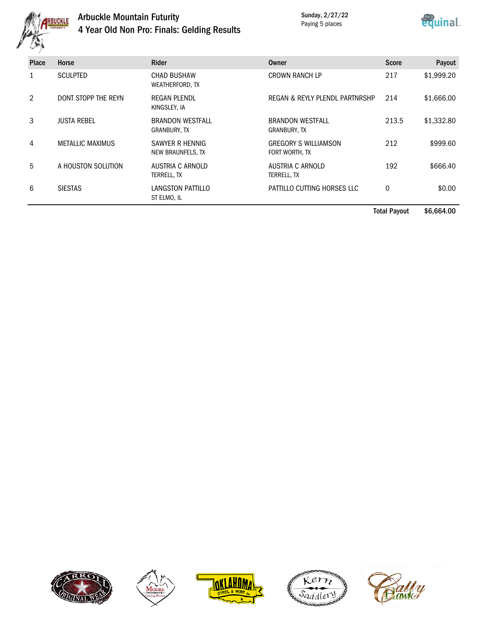

# Arbuckle Mountain Futurity 4 Year Old Non Pro: Finals: Gelding Results

Sunday, 2/27/22 Paying 5 places



| <b>Place</b> | Horse                   | <b>Rider</b>                                 | <b>Owner</b>                                  | <b>Score</b> | Payout     |
|--------------|-------------------------|----------------------------------------------|-----------------------------------------------|--------------|------------|
|              | <b>SCULPTED</b>         | <b>CHAD BUSHAW</b><br><b>WEATHERFORD, TX</b> | <b>CROWN RANCH LP</b>                         | 217          | \$1,999.20 |
| 2            | DONT STOPP THE REYN     | <b>REGAN PLENDL</b><br>KINGSLEY, IA          | REGAN & REYLY PLENDL PARTNRSHP                | 214          | \$1,666.00 |
| 3            | <b>JUSTA REBEL</b>      | <b>BRANDON WESTFALL</b><br>GRANBURY, TX      | <b>BRANDON WESTFALL</b><br>GRANBURY, TX       | 213.5        | \$1,332.80 |
| 4            | <b>METALLIC MAXIMUS</b> | SAWYER R HENNIG<br>NEW BRAUNFELS, TX         | <b>GREGORY S WILLIAMSON</b><br>FORT WORTH, TX | 212          | \$999.60   |
| 5            | A HOUSTON SOLUTION      | AUSTRIA C ARNOLD<br>TERRELL, TX              | AUSTRIA C ARNOLD<br>TERRELL, TX               | 192          | \$666.40   |
| 6            | <b>SIESTAS</b>          | LANGSTON PATTILLO<br>ST ELMO, IL             | PATTILLO CUTTING HORSES LLC                   | $\mathbf 0$  | \$0.00     |

Total Payout \$6,664.00









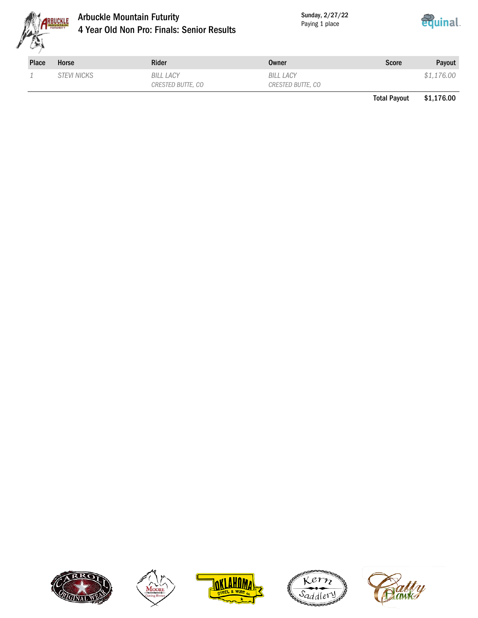

#### Arbuckle Mountain Futurity 4 Year Old Non Pro: Finals: Senior Results

Sunday, 2/27/22 Paying 1 place



| Place | Horse              | <b>Rider</b>                   | Owner                          | <b>Score</b> | Payout     |
|-------|--------------------|--------------------------------|--------------------------------|--------------|------------|
|       | <i>STEVI NICKS</i> | BILL LACY<br>CRESTED BUTTE, CO | BILL LACY<br>CRESTED BUTTE, CO |              | \$1,176.00 |

Total Payout \$1,176.00